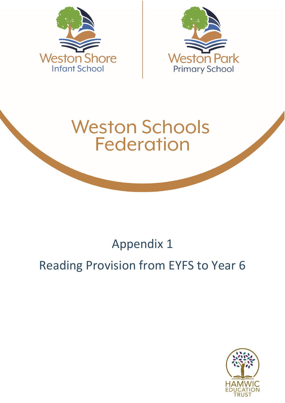



# **Weston Schools Federation**

## Appendix 1

## Reading Provision from EYFS to Year 6

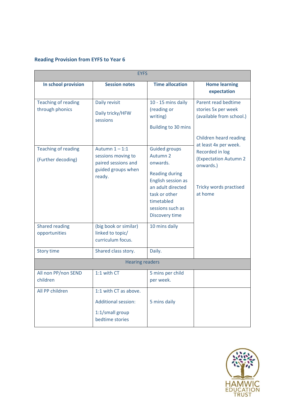#### **Reading Provision from EYFS to Year 6**

| <b>EYFS</b>                                      |                                                                                               |                                                                                                                                                                                                         |                                                                                                                            |  |
|--------------------------------------------------|-----------------------------------------------------------------------------------------------|---------------------------------------------------------------------------------------------------------------------------------------------------------------------------------------------------------|----------------------------------------------------------------------------------------------------------------------------|--|
| In school provision                              | <b>Session notes</b>                                                                          | <b>Time allocation</b>                                                                                                                                                                                  | <b>Home learning</b><br>expectation                                                                                        |  |
| <b>Teaching of reading</b><br>through phonics    | Daily revisit<br>Daily tricky/HFW<br>sessions                                                 | 10 - 15 mins daily<br>(reading or<br>writing)<br><b>Building to 30 mins</b>                                                                                                                             | Parent read bedtime<br>stories 5x per week<br>(available from school.)<br>Children heard reading                           |  |
| <b>Teaching of reading</b><br>(Further decoding) | Autumn $1 - 1:1$<br>sessions moving to<br>paired sessions and<br>guided groups when<br>ready. | <b>Guided groups</b><br>Autumn <sub>2</sub><br>onwards.<br><b>Reading during</b><br>English session as<br>an adult directed<br>task or other<br>timetabled<br>sessions such as<br><b>Discovery time</b> | at least 4x per week.<br>Recorded in log<br><b>(Expectation Autumn 2</b><br>onwards.)<br>Tricky words practised<br>at home |  |
| <b>Shared reading</b><br>opportunities           | (big book or similar)<br>linked to topic/<br>curriculum focus.                                | 10 mins daily                                                                                                                                                                                           |                                                                                                                            |  |
| <b>Story time</b>                                | Shared class story.                                                                           | Daily.                                                                                                                                                                                                  |                                                                                                                            |  |
| <b>Hearing readers</b>                           |                                                                                               |                                                                                                                                                                                                         |                                                                                                                            |  |
| All non PP/non SEND<br>children                  | 1:1 with CT                                                                                   | 5 mins per child<br>per week.                                                                                                                                                                           |                                                                                                                            |  |
| All PP children                                  | 1:1 with CT as above.<br><b>Additional session:</b><br>1:1/small group<br>bedtime stories     | 5 mins daily                                                                                                                                                                                            |                                                                                                                            |  |

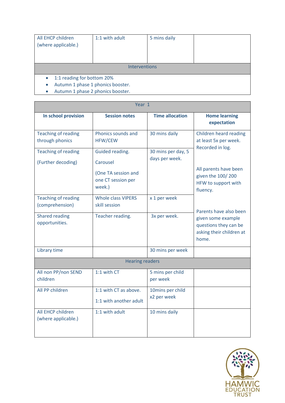| All EHCP children<br>(where applicable.)                                                                                                    | 1:1 with adult | 5 mins daily |  |
|---------------------------------------------------------------------------------------------------------------------------------------------|----------------|--------------|--|
| <b>Interventions</b>                                                                                                                        |                |              |  |
| 1:1 reading for bottom 20%<br>$\bullet$<br>Autumn 1 phase 1 phonics booster.<br>$\bullet$<br>Autumn 1 phase 2 phonics booster.<br>$\bullet$ |                |              |  |

| Year 1                                           |                                                                                    |                                      |                                                                                                                                                      |  |
|--------------------------------------------------|------------------------------------------------------------------------------------|--------------------------------------|------------------------------------------------------------------------------------------------------------------------------------------------------|--|
| In school provision                              | <b>Session notes</b>                                                               | <b>Time allocation</b>               | <b>Home learning</b><br>expectation                                                                                                                  |  |
| <b>Teaching of reading</b><br>through phonics    | Phonics sounds and<br><b>HFW/CEW</b>                                               | 30 mins daily                        | Children heard reading<br>at least 5x per week.<br>Recorded in log.<br>All parents have been<br>given the 100/200<br>HFW to support with<br>fluency. |  |
| <b>Teaching of reading</b><br>(Further decoding) | Guided reading.<br>Carousel<br>(One TA session and<br>one CT session per<br>week.) | 30 mins per day, 5<br>days per week. |                                                                                                                                                      |  |
| <b>Teaching of reading</b><br>(comprehension)    | <b>Whole class VIPERS</b><br>skill session                                         | x 1 per week                         | Parents have also been                                                                                                                               |  |
| <b>Shared reading</b><br>opportunities.          | Teacher reading.                                                                   | 3x per week.                         | given some example<br>questions they can be<br>asking their children at<br>home.                                                                     |  |
| Library time                                     |                                                                                    | 30 mins per week                     |                                                                                                                                                      |  |
| <b>Hearing readers</b>                           |                                                                                    |                                      |                                                                                                                                                      |  |
| All non PP/non SEND<br>children                  | 1:1 with CT                                                                        | 5 mins per child<br>per week         |                                                                                                                                                      |  |
| All PP children                                  | 1:1 with CT as above.<br>1:1 with another adult                                    | 10mins per child<br>x2 per week      |                                                                                                                                                      |  |
| All EHCP children<br>(where applicable.)         | 1:1 with adult                                                                     | 10 mins daily                        |                                                                                                                                                      |  |

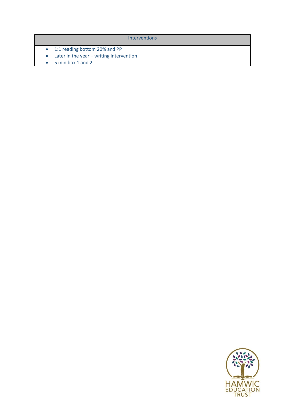**Interventions** 

- 1:1 reading bottom 20% and PP
- Later in the year writing intervention
- 5 min box 1 and 2

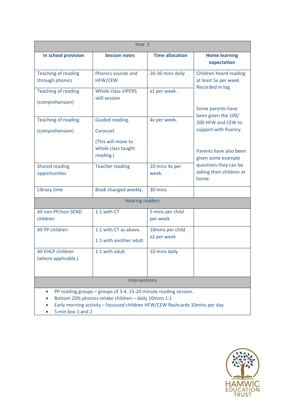| Year <sub>2</sub>                                                                                                                                                                                                                           |                                                                                       |                                 |                                                                                                                    |
|---------------------------------------------------------------------------------------------------------------------------------------------------------------------------------------------------------------------------------------------|---------------------------------------------------------------------------------------|---------------------------------|--------------------------------------------------------------------------------------------------------------------|
| In school provision                                                                                                                                                                                                                         | <b>Session notes</b>                                                                  | <b>Time allocation</b>          | <b>Home learning</b><br>expectation                                                                                |
| <b>Teaching of reading</b><br>through phonics                                                                                                                                                                                               | Phonics sounds and<br><b>HFW/CEW</b>                                                  | 20-30 mins daily                | Children heard reading<br>at least 5x per week.                                                                    |
| <b>Teaching of reading</b><br>(comprehension)                                                                                                                                                                                               | <b>Whole class VIPERS</b><br>skill session                                            | x1 per week.                    | Recorded in log.<br>Some parents have                                                                              |
| <b>Teaching of reading</b><br>(comprehension)                                                                                                                                                                                               | Guided reading.<br>Carousel.<br>(This will move to<br>whole class taught<br>reading.) | 4x per week.                    | been given the 100/<br>200 HFW and CEW to<br>support with fluency.<br>Parents have also been<br>given some example |
| <b>Shared reading</b><br>opportunities                                                                                                                                                                                                      | <b>Teacher reading</b>                                                                | 10 mins 4x per<br>week.         | questions they can be<br>asking their children at<br>home.                                                         |
| Library time                                                                                                                                                                                                                                | Book changed weekly.                                                                  | 30 mins                         |                                                                                                                    |
|                                                                                                                                                                                                                                             | <b>Hearing readers</b>                                                                |                                 |                                                                                                                    |
| All non PP/non SEND<br>children                                                                                                                                                                                                             | 1:1 with CT                                                                           | 5 mins per child<br>per week    |                                                                                                                    |
| All PP children                                                                                                                                                                                                                             | 1:1 with CT as above.<br>1:1 with another adult                                       | 10mins per child<br>x2 per week |                                                                                                                    |
| All EHCP children<br>(where applicable.)                                                                                                                                                                                                    | 1:1 with adult                                                                        | 10 mins daily                   |                                                                                                                    |
| <b>Interventions</b>                                                                                                                                                                                                                        |                                                                                       |                                 |                                                                                                                    |
| PP reading groups - groups of 3-4. 15-20 minute reading session.<br>$\bullet$<br>Bottom 20% phonics retake children - daily 10mins 1:1<br>Early morning activity - focussed children HFW/CEW flashcards 10mins per day<br>5 min box 1 and 2 |                                                                                       |                                 |                                                                                                                    |

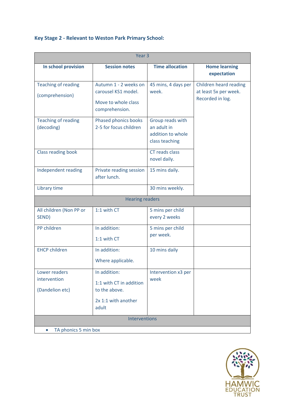#### **Key Stage 2 - Relevant to Weston Park Primary School:**

| Year <sub>3</sub>                                |                                                                                       |                                                                        |                                                                     |
|--------------------------------------------------|---------------------------------------------------------------------------------------|------------------------------------------------------------------------|---------------------------------------------------------------------|
| In school provision                              | <b>Session notes</b>                                                                  | <b>Time allocation</b>                                                 | <b>Home learning</b><br>expectation                                 |
| <b>Teaching of reading</b><br>(comprehension)    | Autumn 1 - 2 weeks on<br>carousel KS1 model.<br>Move to whole class<br>comprehension. | 45 mins, 4 days per<br>week.                                           | Children heard reading<br>at least 5x per week.<br>Recorded in log. |
| <b>Teaching of reading</b><br>(decoding)         | Phased phonics books<br>2-5 for focus children                                        | Group reads with<br>an adult in<br>addition to whole<br>class teaching |                                                                     |
| Class reading book                               |                                                                                       | CT reads class<br>novel daily.                                         |                                                                     |
| Independent reading                              | Private reading session<br>after lunch.                                               | 15 mins daily.                                                         |                                                                     |
| Library time                                     |                                                                                       | 30 mins weekly.                                                        |                                                                     |
|                                                  | <b>Hearing readers</b>                                                                |                                                                        |                                                                     |
| All children (Non PP or<br>SEND)                 | 1:1 with CT                                                                           | 5 mins per child<br>every 2 weeks                                      |                                                                     |
| PP children                                      | In addition:<br>1:1 with CT                                                           | 5 mins per child<br>per week.                                          |                                                                     |
| <b>EHCP children</b>                             | In addition:<br>Where applicable.                                                     | 10 mins daily                                                          |                                                                     |
| Lower readers<br>intervention<br>(Dandelion etc) | In addition:<br>1:1 with CT in addition<br>to the above.                              | Intervention x3 per<br>week                                            |                                                                     |
|                                                  | 2x 1:1 with another<br>adult                                                          |                                                                        |                                                                     |
| Interventions                                    |                                                                                       |                                                                        |                                                                     |
| TA phonics 5 min box<br>$\bullet$                |                                                                                       |                                                                        |                                                                     |

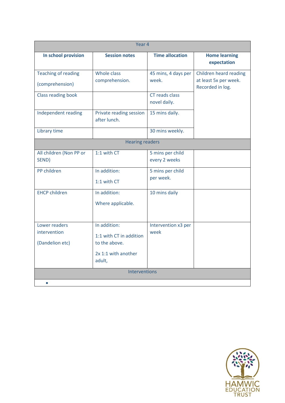| Year 4                     |                                         |                                |                                           |
|----------------------------|-----------------------------------------|--------------------------------|-------------------------------------------|
| In school provision        | <b>Session notes</b>                    | <b>Time allocation</b>         | <b>Home learning</b><br>expectation       |
| <b>Teaching of reading</b> | Whole class                             | 45 mins, 4 days per            | Children heard reading                    |
| (comprehension)            | comprehension.                          | week.                          | at least 5x per week.<br>Recorded in log. |
| <b>Class reading book</b>  |                                         | CT reads class<br>novel daily. |                                           |
| Independent reading        | Private reading session<br>after lunch. | 15 mins daily.                 |                                           |
| Library time               |                                         | 30 mins weekly.                |                                           |
|                            | <b>Hearing readers</b>                  |                                |                                           |
| All children (Non PP or    | 1:1 with CT                             | 5 mins per child               |                                           |
| SEND)                      |                                         | every 2 weeks                  |                                           |
| PP children                | In addition:                            | 5 mins per child               |                                           |
|                            | 1:1 with CT                             | per week.                      |                                           |
| <b>EHCP children</b>       | In addition:                            | 10 mins daily                  |                                           |
|                            | Where applicable.                       |                                |                                           |
| Lower readers              | In addition:                            | Intervention x3 per            |                                           |
| intervention               | 1:1 with CT in addition                 | week                           |                                           |
| (Dandelion etc)            | to the above.                           |                                |                                           |
|                            | 2x 1:1 with another                     |                                |                                           |
|                            | adult,                                  |                                |                                           |
| Interventions              |                                         |                                |                                           |
| $\bullet$                  |                                         |                                |                                           |